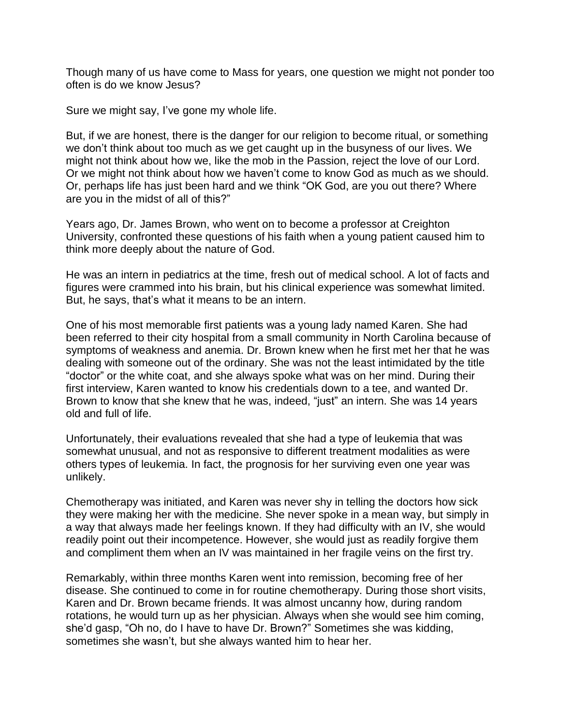Though many of us have come to Mass for years, one question we might not ponder too often is do we know Jesus?

Sure we might say, I've gone my whole life.

But, if we are honest, there is the danger for our religion to become ritual, or something we don't think about too much as we get caught up in the busyness of our lives. We might not think about how we, like the mob in the Passion, reject the love of our Lord. Or we might not think about how we haven't come to know God as much as we should. Or, perhaps life has just been hard and we think "OK God, are you out there? Where are you in the midst of all of this?"

Years ago, Dr. James Brown, who went on to become a professor at Creighton University, confronted these questions of his faith when a young patient caused him to think more deeply about the nature of God.

He was an intern in pediatrics at the time, fresh out of medical school. A lot of facts and figures were crammed into his brain, but his clinical experience was somewhat limited. But, he says, that's what it means to be an intern.

One of his most memorable first patients was a young lady named Karen. She had been referred to their city hospital from a small community in North Carolina because of symptoms of weakness and anemia. Dr. Brown knew when he first met her that he was dealing with someone out of the ordinary. She was not the least intimidated by the title "doctor" or the white coat, and she always spoke what was on her mind. During their first interview, Karen wanted to know his credentials down to a tee, and wanted Dr. Brown to know that she knew that he was, indeed, "just" an intern. She was 14 years old and full of life.

Unfortunately, their evaluations revealed that she had a type of leukemia that was somewhat unusual, and not as responsive to different treatment modalities as were others types of leukemia. In fact, the prognosis for her surviving even one year was unlikely.

Chemotherapy was initiated, and Karen was never shy in telling the doctors how sick they were making her with the medicine. She never spoke in a mean way, but simply in a way that always made her feelings known. If they had difficulty with an IV, she would readily point out their incompetence. However, she would just as readily forgive them and compliment them when an IV was maintained in her fragile veins on the first try.

Remarkably, within three months Karen went into remission, becoming free of her disease. She continued to come in for routine chemotherapy. During those short visits, Karen and Dr. Brown became friends. It was almost uncanny how, during random rotations, he would turn up as her physician. Always when she would see him coming, she'd gasp, "Oh no, do I have to have Dr. Brown?" Sometimes she was kidding, sometimes she wasn't, but she always wanted him to hear her.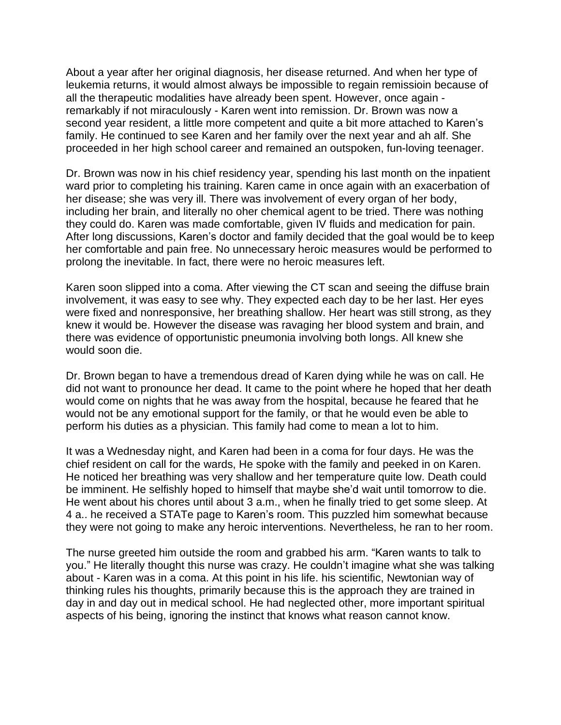About a year after her original diagnosis, her disease returned. And when her type of leukemia returns, it would almost always be impossible to regain remissioin because of all the therapeutic modalities have already been spent. However, once again remarkably if not miraculously - Karen went into remission. Dr. Brown was now a second year resident, a little more competent and quite a bit more attached to Karen's family. He continued to see Karen and her family over the next year and ah alf. She proceeded in her high school career and remained an outspoken, fun-loving teenager.

Dr. Brown was now in his chief residency year, spending his last month on the inpatient ward prior to completing his training. Karen came in once again with an exacerbation of her disease; she was very ill. There was involvement of every organ of her body, including her brain, and literally no oher chemical agent to be tried. There was nothing they could do. Karen was made comfortable, given IV fluids and medication for pain. After long discussions, Karen's doctor and family decided that the goal would be to keep her comfortable and pain free. No unnecessary heroic measures would be performed to prolong the inevitable. In fact, there were no heroic measures left.

Karen soon slipped into a coma. After viewing the CT scan and seeing the diffuse brain involvement, it was easy to see why. They expected each day to be her last. Her eyes were fixed and nonresponsive, her breathing shallow. Her heart was still strong, as they knew it would be. However the disease was ravaging her blood system and brain, and there was evidence of opportunistic pneumonia involving both longs. All knew she would soon die.

Dr. Brown began to have a tremendous dread of Karen dying while he was on call. He did not want to pronounce her dead. It came to the point where he hoped that her death would come on nights that he was away from the hospital, because he feared that he would not be any emotional support for the family, or that he would even be able to perform his duties as a physician. This family had come to mean a lot to him.

It was a Wednesday night, and Karen had been in a coma for four days. He was the chief resident on call for the wards, He spoke with the family and peeked in on Karen. He noticed her breathing was very shallow and her temperature quite low. Death could be imminent. He selfishly hoped to himself that maybe she'd wait until tomorrow to die. He went about his chores until about 3 a.m., when he finally tried to get some sleep. At 4 a.. he received a STATe page to Karen's room. This puzzled him somewhat because they were not going to make any heroic interventions. Nevertheless, he ran to her room.

The nurse greeted him outside the room and grabbed his arm. "Karen wants to talk to you." He literally thought this nurse was crazy. He couldn't imagine what she was talking about - Karen was in a coma. At this point in his life. his scientific, Newtonian way of thinking rules his thoughts, primarily because this is the approach they are trained in day in and day out in medical school. He had neglected other, more important spiritual aspects of his being, ignoring the instinct that knows what reason cannot know.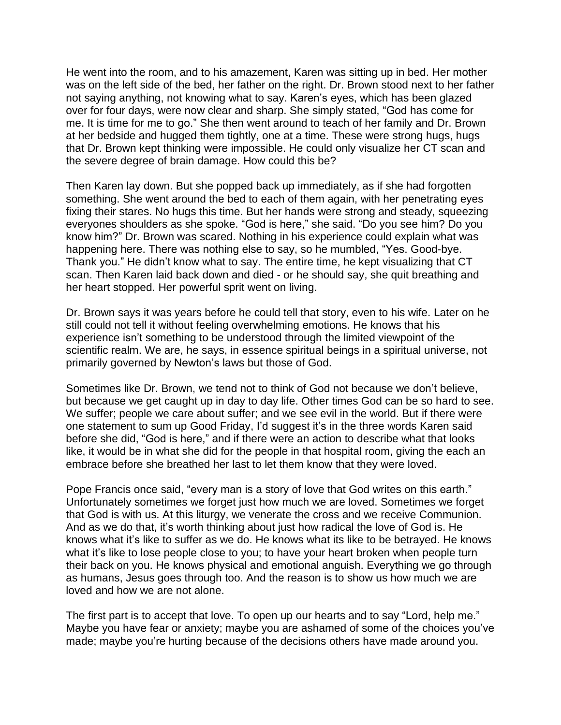He went into the room, and to his amazement, Karen was sitting up in bed. Her mother was on the left side of the bed, her father on the right. Dr. Brown stood next to her father not saying anything, not knowing what to say. Karen's eyes, which has been glazed over for four days, were now clear and sharp. She simply stated, "God has come for me. It is time for me to go." She then went around to teach of her family and Dr. Brown at her bedside and hugged them tightly, one at a time. These were strong hugs, hugs that Dr. Brown kept thinking were impossible. He could only visualize her CT scan and the severe degree of brain damage. How could this be?

Then Karen lay down. But she popped back up immediately, as if she had forgotten something. She went around the bed to each of them again, with her penetrating eyes fixing their stares. No hugs this time. But her hands were strong and steady, squeezing everyones shoulders as she spoke. "God is here," she said. "Do you see him? Do you know him?" Dr. Brown was scared. Nothing in his experience could explain what was happening here. There was nothing else to say, so he mumbled, "Yes. Good-bye. Thank you." He didn't know what to say. The entire time, he kept visualizing that CT scan. Then Karen laid back down and died - or he should say, she quit breathing and her heart stopped. Her powerful sprit went on living.

Dr. Brown says it was years before he could tell that story, even to his wife. Later on he still could not tell it without feeling overwhelming emotions. He knows that his experience isn't something to be understood through the limited viewpoint of the scientific realm. We are, he says, in essence spiritual beings in a spiritual universe, not primarily governed by Newton's laws but those of God.

Sometimes like Dr. Brown, we tend not to think of God not because we don't believe, but because we get caught up in day to day life. Other times God can be so hard to see. We suffer; people we care about suffer; and we see evil in the world. But if there were one statement to sum up Good Friday, I'd suggest it's in the three words Karen said before she did, "God is here," and if there were an action to describe what that looks like, it would be in what she did for the people in that hospital room, giving the each an embrace before she breathed her last to let them know that they were loved.

Pope Francis once said, "every man is a story of love that God writes on this earth." Unfortunately sometimes we forget just how much we are loved. Sometimes we forget that God is with us. At this liturgy, we venerate the cross and we receive Communion. And as we do that, it's worth thinking about just how radical the love of God is. He knows what it's like to suffer as we do. He knows what its like to be betrayed. He knows what it's like to lose people close to you; to have your heart broken when people turn their back on you. He knows physical and emotional anguish. Everything we go through as humans, Jesus goes through too. And the reason is to show us how much we are loved and how we are not alone.

The first part is to accept that love. To open up our hearts and to say "Lord, help me." Maybe you have fear or anxiety; maybe you are ashamed of some of the choices you've made; maybe you're hurting because of the decisions others have made around you.